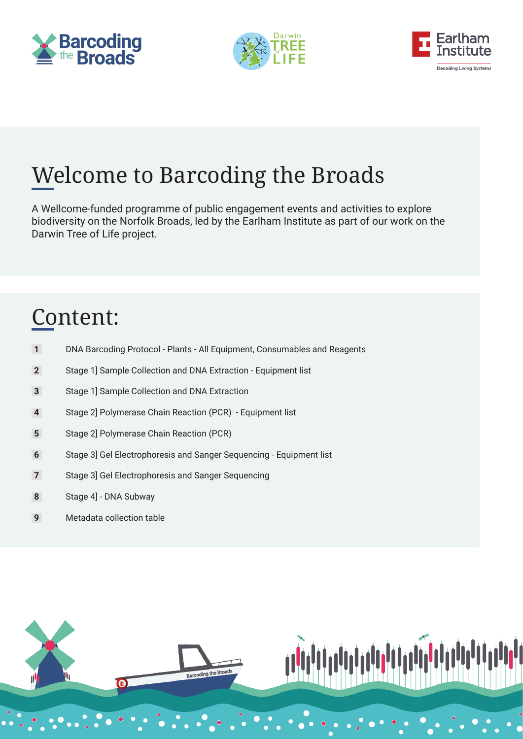





# Welcome to Barcoding the Broads

A Wellcome-funded programme of public engagement events and activities to explore biodiversity on the Norfolk Broads, led by the Earlham Institute as part of our work on the Darwin Tree of Life project.

# Content:

- DNA Barcoding Protocol Plants All Equipment, Consumables and Reagents
- Stage 1] Sample Collection and DNA Extraction Equipment list
- Stage 1] Sample Collection and DNA Extraction
- Stage 2] Polymerase Chain Reaction (PCR) Equipment list
- Stage 2] Polymerase Chain Reaction (PCR)
- Stage 3] Gel Electrophoresis and Sanger Sequencing Equipment list
- Stage 3] Gel Electrophoresis and Sanger Sequencing
- Stage 4] DNA Subway
- Metadata collection table



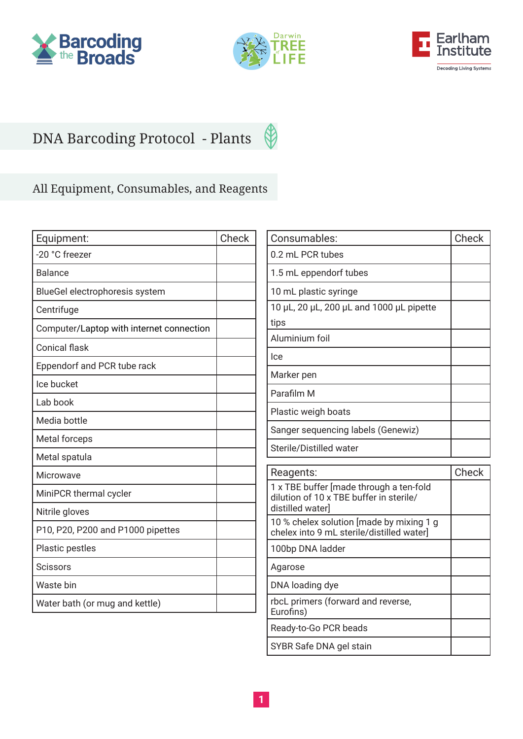







## All Equipment, Consumables, and Reagents

| -20 °C freezer                           |  |
|------------------------------------------|--|
| <b>Balance</b>                           |  |
| BlueGel electrophoresis system           |  |
| Centrifuge                               |  |
| Computer/Laptop with internet connection |  |
| <b>Conical flask</b>                     |  |
| Eppendorf and PCR tube rack              |  |
| Ice bucket                               |  |
| Lab book                                 |  |
| Media bottle                             |  |
| Metal forceps                            |  |
| Metal spatula                            |  |
| <b>Microwave</b>                         |  |
| MiniPCR thermal cycler                   |  |
| Nitrile gloves                           |  |
| P10, P20, P200 and P1000 pipettes        |  |
| Plastic pestles                          |  |
| <b>Scissors</b>                          |  |
| Waste bin                                |  |
| Water bath (or mug and kettle)           |  |

| Consumables:                             | Check |
|------------------------------------------|-------|
| 0.2 mL PCR tubes                         |       |
| 1.5 mL eppendorf tubes                   |       |
| 10 mL plastic syringe                    |       |
| 10 µL, 20 µL, 200 µL and 1000 µL pipette |       |
| tips                                     |       |
| Aluminium foil                           |       |
| lce                                      |       |
| Marker pen                               |       |
| Parafilm M                               |       |
| Plastic weigh boats                      |       |
| Sanger sequencing labels (Genewiz)       |       |
| Sterile/Distilled water                  |       |
|                                          |       |

| Reagents:                                                                                             | Check |
|-------------------------------------------------------------------------------------------------------|-------|
| 1 x TBE buffer [made through a ten-fold<br>dilution of 10 x TBE buffer in sterile/<br>distilled water |       |
| 10 % chelex solution [made by mixing 1 g<br>chelex into 9 mL sterile/distilled water]                 |       |
| 100bp DNA ladder                                                                                      |       |
| Agarose                                                                                               |       |
| DNA loading dye                                                                                       |       |
| rbcL primers (forward and reverse,<br>Eurofins)                                                       |       |
| Ready-to-Go PCR beads                                                                                 |       |
| SYBR Safe DNA gel stain                                                                               |       |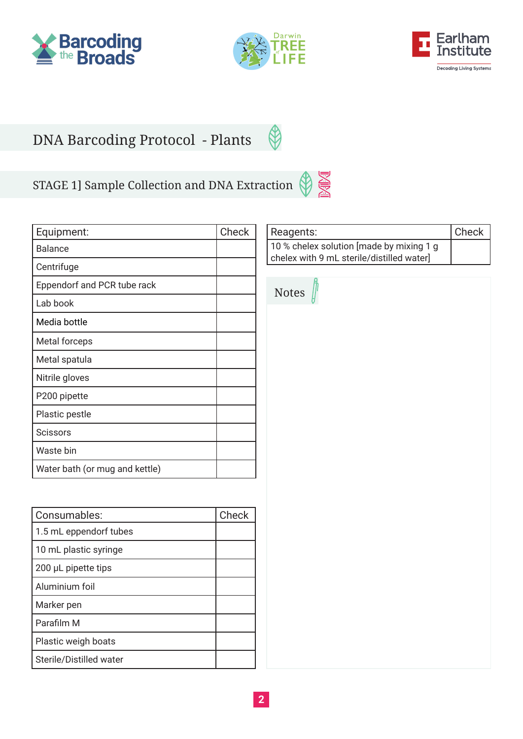



 $\bigcirc$ 

**PARA** 



## DNA Barcoding Protocol - Plants

# STAGE 1] Sample Collection and DNA Extraction

| Equipment:                     | Check |
|--------------------------------|-------|
| Balance                        |       |
| Centrifuge                     |       |
| Eppendorf and PCR tube rack    |       |
| Lab book                       |       |
| Media bottle                   |       |
| Metal forceps                  |       |
| Metal spatula                  |       |
| Nitrile gloves                 |       |
| P200 pipette                   |       |
| Plastic pestle                 |       |
| <b>Scissors</b>                |       |
| Waste bin                      |       |
| Water bath (or mug and kettle) |       |

| Consumables:            | Check |
|-------------------------|-------|
| 1.5 mL eppendorf tubes  |       |
| 10 mL plastic syringe   |       |
| 200 µL pipette tips     |       |
| Aluminium foil          |       |
| Marker pen              |       |
| Parafilm M              |       |
| Plastic weigh boats     |       |
| Sterile/Distilled water |       |

| Reagents:                                | <b>Check</b> |
|------------------------------------------|--------------|
| 10 % chelex solution [made by mixing 1 g |              |
| chelex with 9 mL sterile/distilled water |              |

| Notes $\int$ |  |  |  |
|--------------|--|--|--|
|              |  |  |  |
|              |  |  |  |
|              |  |  |  |
|              |  |  |  |
|              |  |  |  |
|              |  |  |  |
|              |  |  |  |
|              |  |  |  |
|              |  |  |  |
|              |  |  |  |
|              |  |  |  |
|              |  |  |  |
|              |  |  |  |
|              |  |  |  |
|              |  |  |  |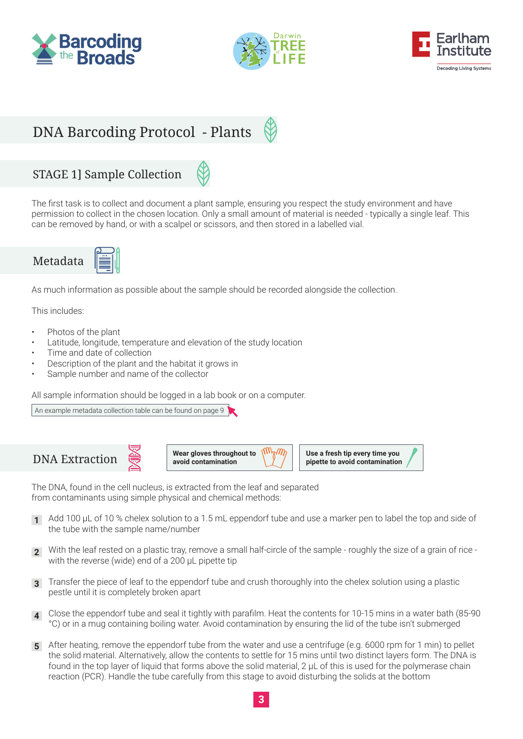





### STAGE 1] Sample Collection

The first task is to collect and document a plant sample, ensuring you respect the study environment and have permission to collect in the chosen location. Only a small amount of material is needed - typically a single leaf. This can be removed by hand, or with a scalpel or scissors, and then stored in a labelled vial.



As much information as possible about the sample should be recorded alongside the collection.

This includes:

- Photos of the plant
- Latitude, longitude, temperature and elevation of the study location
- Time and date of collection
- Description of the plant and the habitat it grows in
- Sample number and name of the collector

All sample information should be logged in a lab book or on a computer.

[An example metadata collection table can be found on page 9](#page-9-0)







The DNA, found in the cell nucleus, is extracted from the leaf and separated from contaminants using simple physical and chemical methods:

- Add 100 μL of 10 % chelex solution to a 1.5 mL eppendorf tube and use a marker pen to label the top and side of the tube with the sample name/number **1**
- With the leaf rested on a plastic tray, remove a small half-circle of the sample roughly the size of a grain of rice **2** with the reverse (wide) end of a 200 μL pipette tip
- Transfer the piece of leaf to the eppendorf tube and crush thoroughly into the chelex solution using a plastic **3** pestle until it is completely broken apart
- Close the eppendorf tube and seal it tightly with parafilm. Heat the contents for 10-15 mins in a water bath (85-90 **4** °C) or in a mug containing boiling water. Avoid contamination by ensuring the lid of the tube isn't submerged
- After heating, remove the eppendorf tube from the water and use a centrifuge (e.g. 6000 rpm for 1 min) to pellet **5** the solid material. Alternatively, allow the contents to settle for 15 mins until two distinct layers form. The DNA is found in the top layer of liquid that forms above the solid material, 2 μL of this is used for the polymerase chain reaction (PCR). Handle the tube carefully from this stage to avoid disturbing the solids at the bottom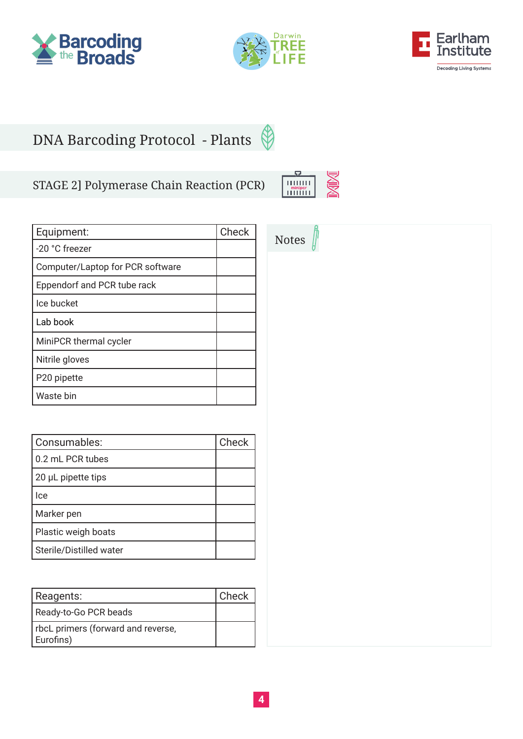





### STAGE 2] Polymerase Chain Reaction (PCR)

| Equipment:                       | Check |
|----------------------------------|-------|
| -20 °C freezer                   |       |
| Computer/Laptop for PCR software |       |
| Eppendorf and PCR tube rack      |       |
| Ice bucket                       |       |
| Lab book                         |       |
| MiniPCR thermal cycler           |       |
| Nitrile gloves                   |       |
| P20 pipette                      |       |
| Waste bin                        |       |

| Consumables:            | Check |
|-------------------------|-------|
| 0.2 mL PCR tubes        |       |
| 20 µL pipette tips      |       |
| lce                     |       |
| Marker pen              |       |
| Plastic weigh boats     |       |
| Sterile/Distilled water |       |

| Reagents:                                       | Check |
|-------------------------------------------------|-------|
| Ready-to-Go PCR beads                           |       |
| rbcL primers (forward and reverse,<br>Eurofins) |       |

| ''''''''<br>minipcr |  |
|---------------------|--|
| ,,,,,,,,            |  |

| Notes $\int$ |  |
|--------------|--|
|              |  |
|              |  |
|              |  |
|              |  |
|              |  |
|              |  |
|              |  |
|              |  |
|              |  |
|              |  |
|              |  |
|              |  |
|              |  |
|              |  |
|              |  |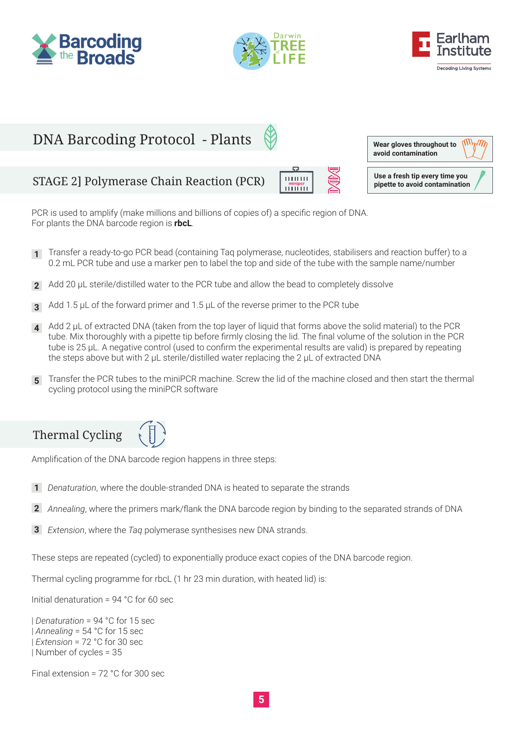





### DNA Barcoding Protocol - Plants  $\mathcal{W}^{\mathcal{M}}$ **Wear gloves throughout to avoid contaminationUse a fresh tip every time you**<br> **USE 2** Polymerase Chain Reaction (PCR) **pipette to avoid contamination**

PCR is used to amplify (make millions and billions of copies of) a specific region of DNA. For plants the DNA barcode region is **rbcL**.

- Transfer a ready-to-go PCR bead (containing Taq polymerase, nucleotides, stabilisers and reaction buffer) to a **1** 0.2 mL PCR tube and use a marker pen to label the top and side of the tube with the sample name/number
- Add 20 μL sterile/distilled water to the PCR tube and allow the bead to completely dissolve **2**
- Add 1.5 μL of the forward primer and 1.5 μL of the reverse primer to the PCR tube **3**
- Add 2 μL of extracted DNA (taken from the top layer of liquid that forms above the solid material) to the PCR tube. Mix thoroughly with a pipette tip before firmly closing the lid. The final volume of the solution in the PCR tube is 25 μL. A negative control (used to confirm the experimental results are valid) is prepared by repeating the steps above but with 2 μL sterile/distilled water replacing the 2 μL of extracted DNA **4**
- Transfer the PCR tubes to the miniPCR machine. Screw the lid of the machine closed and then start the thermal **5** cycling protocol using the miniPCR software



Amplification of the DNA barcode region happens in three steps:

- *Denaturation*, where the double-stranded DNA is heated to separate the strands **1**
- *Annealing*, where the primers mark/flank the DNA barcode region by binding to the separated strands of DNA **2**
- *Extension*, where the *Taq* polymerase synthesises new DNA strands. **3**

These steps are repeated (cycled) to exponentially produce exact copies of the DNA barcode region.

Thermal cycling programme for rbcL (1 hr 23 min duration, with heated lid) is:

Initial denaturation = 94 °C for 60 sec

| *Denaturation* = 94 °C for 15 sec | *Annealing* = 54 °C for 15 sec | *Extension* = 72 °C for 30 sec | Number of cycles = 35

Final extension = 72 °C for 300 sec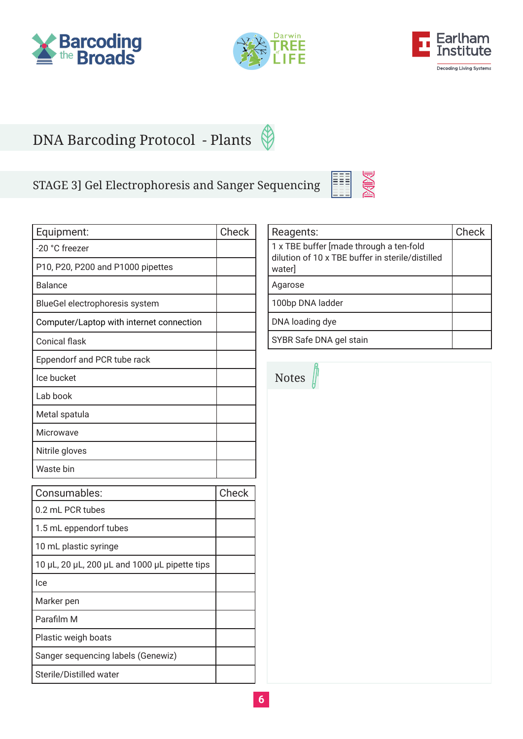





### STAGE 3] Gel Electrophoresis and Sanger Sequencing

| Equipment:                                    | Check |
|-----------------------------------------------|-------|
| -20 °C freezer                                |       |
| P10, P20, P200 and P1000 pipettes             |       |
| <b>Balance</b>                                |       |
| BlueGel electrophoresis system                |       |
| Computer/Laptop with internet connection      |       |
| <b>Conical flask</b>                          |       |
| Eppendorf and PCR tube rack                   |       |
| Ice bucket                                    |       |
| Lab book                                      |       |
| Metal spatula                                 |       |
| Microwave                                     |       |
| Nitrile gloves                                |       |
| Waste bin                                     |       |
| Consumables:                                  | Check |
| 0.2 mL PCR tubes                              |       |
| 1.5 mL eppendorf tubes                        |       |
| 10 mL plastic syringe                         |       |
| 10 µL, 20 µL, 200 µL and 1000 µL pipette tips |       |
| Ice                                           |       |
| Marker pen                                    |       |
| Parafilm M                                    |       |
| Plastic weigh boats                           |       |
| Sanger sequencing labels (Genewiz)            |       |
| Sterile/Distilled water                       |       |

| Reagents:                                                                                             | Check |
|-------------------------------------------------------------------------------------------------------|-------|
| 1 x TBE buffer [made through a ten-fold<br>dilution of 10 x TBE buffer in sterile/distilled<br>water] |       |
| Agarose                                                                                               |       |
| 100bp DNA ladder                                                                                      |       |
| DNA loading dye                                                                                       |       |
| SYBR Safe DNA gel stain                                                                               |       |

**NOW** 

E

Notes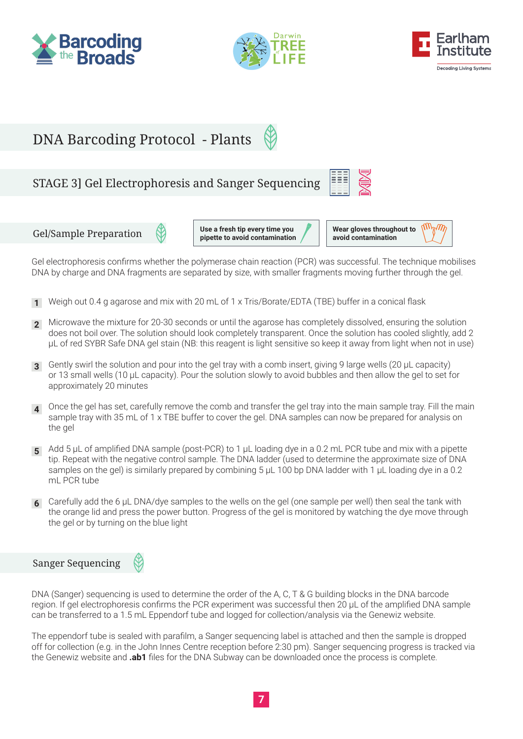







### STAGE 3] Gel Electrophoresis and Sanger Sequencing



#### Gel/Sample Preparation

**Use a fresh tip every time you pipette to avoid contamination**



Gel electrophoresis confirms whether the polymerase chain reaction (PCR) was successful. The technique mobilises DNA by charge and DNA fragments are separated by size, with smaller fragments moving further through the gel.

- Weigh out 0.4 g agarose and mix with 20 mL of 1 x Tris/Borate/EDTA (TBE) buffer in a conical flask **1**
- Microwave the mixture for 20-30 seconds or until the agarose has completely dissolved, ensuring the solution does not boil over. The solution should look completely transparent. Once the solution has cooled slightly, add 2 μL of red SYBR Safe DNA gel stain (NB: this reagent is light sensitive so keep it away from light when not in use) **2**
- Gently swirl the solution and pour into the gel tray with a comb insert, giving 9 large wells (20 μL capacity) **3** or 13 small wells (10 μL capacity). Pour the solution slowly to avoid bubbles and then allow the gel to set for approximately 20 minutes
- Once the gel has set, carefully remove the comb and transfer the gel tray into the main sample tray. Fill the main **4** sample tray with 35 mL of 1 x TBE buffer to cover the gel. DNA samples can now be prepared for analysis on the gel
- Add 5 µL of amplified DNA sample (post-PCR) to 1 µL loading dye in a 0.2 mL PCR tube and mix with a pipette **5** tip. Repeat with the negative control sample. The DNA ladder (used to determine the approximate size of DNA samples on the gel) is similarly prepared by combining 5  $\mu$ L 100 bp DNA ladder with 1  $\mu$ L loading dye in a 0.2 mL PCR tube
- Carefully add the 6 µL DNA/dye samples to the wells on the gel (one sample per well) then seal the tank with **6** the orange lid and press the power button. Progress of the gel is monitored by watching the dye move through the gel or by turning on the blue light

#### Sanger Sequencing



DNA (Sanger) sequencing is used to determine the order of the A, C, T & G building blocks in the DNA barcode region. If gel electrophoresis confirms the PCR experiment was successful then 20 µL of the amplified DNA sample can be transferred to a 1.5 mL Eppendorf tube and logged for collection/analysis via the Genewiz website.

The eppendorf tube is sealed with parafilm, a Sanger sequencing label is attached and then the sample is dropped off for collection (e.g. in the John Innes Centre reception before 2:30 pm). Sanger sequencing progress is tracked via the Genewiz website and **.ab1** files for the DNA Subway can be downloaded once the process is complete.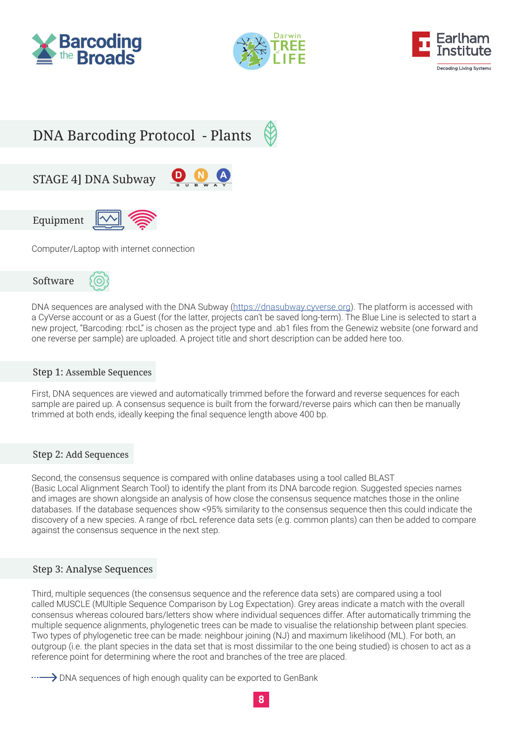







Computer/Laptop with internet connection



DNA sequences are analysed with the DNA Subway (<https://dnasubway.cyverse.org>). The platform is accessed with a CyVerse account or as a Guest (for the latter, projects can't be saved long-term). The Blue Line is selected to start a new project, "Barcoding: rbcL" is chosen as the project type and .ab1 files from the Genewiz website (one forward and one reverse per sample) are uploaded. A project title and short description can be added here too.

#### Step 1: Assemble Sequences

First, DNA sequences are viewed and automatically trimmed before the forward and reverse sequences for each sample are paired up. A consensus sequence is built from the forward/reverse pairs which can then be manually trimmed at both ends, ideally keeping the final sequence length above 400 bp.

#### Step 2: Add Sequences

Second, the consensus sequence is compared with online databases using a tool called BLAST (Basic Local Alignment Search Tool) to identify the plant from its DNA barcode region. Suggested species names and images are shown alongside an analysis of how close the consensus sequence matches those in the online databases. If the database sequences show <95% similarity to the consensus sequence then this could indicate the discovery of a new species. A range of rbcL reference data sets (e.g. common plants) can then be added to compare against the consensus sequence in the next step.

#### Step 3: Analyse Sequences

Third, multiple sequences (the consensus sequence and the reference data sets) are compared using a tool called MUSCLE (MUltiple Sequence Comparison by Log Expectation). Grey areas indicate a match with the overall consensus whereas coloured bars/letters show where individual sequences differ. After automatically trimming the multiple sequence alignments, phylogenetic trees can be made to visualise the relationship between plant species. Two types of phylogenetic tree can be made: neighbour joining (NJ) and maximum likelihood (ML). For both, an outgroup (i.e. the plant species in the data set that is most dissimilar to the one being studied) is chosen to act as a reference point for determining where the root and branches of the tree are placed.

DNA sequences of high enough quality can be exported to GenBank

**8**